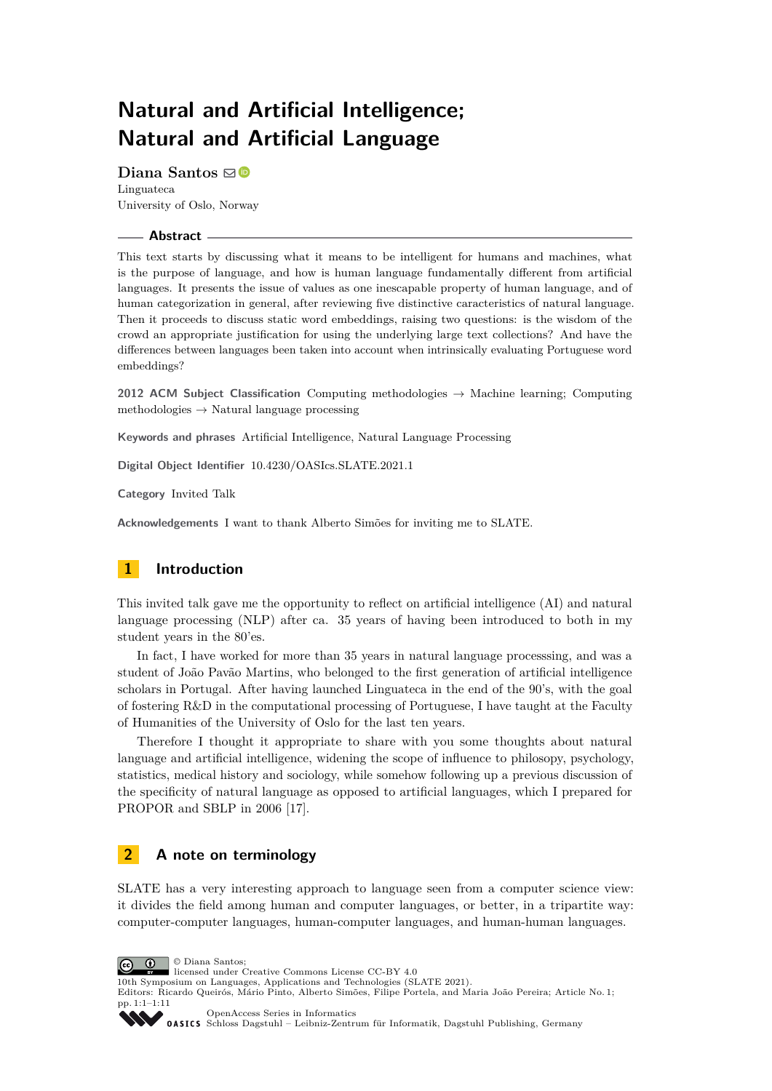# **Natural and Artificial Intelligence; Natural and Artificial Language**

**Diana Santos** ⊠<sup>■</sup> Linguateca University of Oslo, Norway

#### **Abstract**

This text starts by discussing what it means to be intelligent for humans and machines, what is the purpose of language, and how is human language fundamentally different from artificial languages. It presents the issue of values as one inescapable property of human language, and of human categorization in general, after reviewing five distinctive caracteristics of natural language. Then it proceeds to discuss static word embeddings, raising two questions: is the wisdom of the crowd an appropriate justification for using the underlying large text collections? And have the differences between languages been taken into account when intrinsically evaluating Portuguese word embeddings?

**2012 ACM Subject Classification** Computing methodologies → Machine learning; Computing methodologies  $\rightarrow$  Natural language processing

**Keywords and phrases** Artificial Intelligence, Natural Language Processing

**Digital Object Identifier** [10.4230/OASIcs.SLATE.2021.1](https://doi.org/10.4230/OASIcs.SLATE.2021.1)

**Category** Invited Talk

**Acknowledgements** I want to thank Alberto Simões for inviting me to SLATE.

# **1 Introduction**

This invited talk gave me the opportunity to reflect on artificial intelligence (AI) and natural language processing (NLP) after ca. 35 years of having been introduced to both in my student years in the 80'es.

In fact, I have worked for more than 35 years in natural language processsing, and was a student of João Pavão Martins, who belonged to the first generation of artificial intelligence scholars in Portugal. After having launched Linguateca in the end of the 90's, with the goal of fostering R&D in the computational processing of Portuguese, I have taught at the Faculty of Humanities of the University of Oslo for the last ten years.

Therefore I thought it appropriate to share with you some thoughts about natural language and artificial intelligence, widening the scope of influence to philosopy, psychology, statistics, medical history and sociology, while somehow following up a previous discussion of the specificity of natural language as opposed to artificial languages, which I prepared for PROPOR and SBLP in 2006 [\[17\]](#page-10-0).

## **2 A note on terminology**

SLATE has a very interesting approach to language seen from a computer science view: it divides the field among human and computer languages, or better, in a tripartite way: computer-computer languages, human-computer languages, and human-human languages.

© Diana Santos;  $\boxed{6}$   $\boxed{0}$ 

licensed under Creative Commons License CC-BY 4.0

10th Symposium on Languages, Applications and Technologies (SLATE 2021). Editors: Ricardo Queirós, Mário Pinto, Alberto Simões, Filipe Portela, and Maria João Pereira; Article No. 1;

pp. 1:1–1:11

[OpenAccess Series in Informatics](https://www.dagstuhl.de/oasics/) 0ASICS [Schloss Dagstuhl – Leibniz-Zentrum für Informatik, Dagstuhl Publishing, Germany](https://www.dagstuhl.de)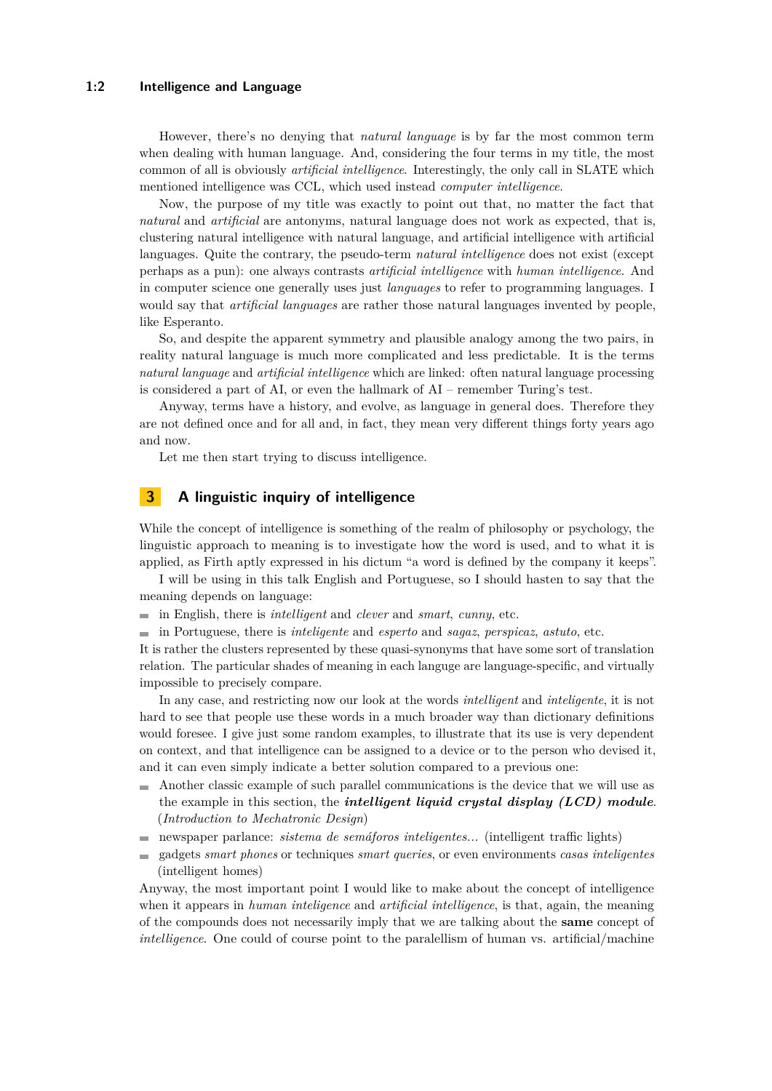#### **1:2 Intelligence and Language**

However, there's no denying that *natural language* is by far the most common term when dealing with human language. And, considering the four terms in my title, the most common of all is obviously *artificial intelligence*. Interestingly, the only call in SLATE which mentioned intelligence was CCL, which used instead *computer intelligence*.

Now, the purpose of my title was exactly to point out that, no matter the fact that *natural* and *artificial* are antonyms, natural language does not work as expected, that is, clustering natural intelligence with natural language, and artificial intelligence with artificial languages. Quite the contrary, the pseudo-term *natural intelligence* does not exist (except perhaps as a pun): one always contrasts *artificial intelligence* with *human intelligence*. And in computer science one generally uses just *languages* to refer to programming languages. I would say that *artificial languages* are rather those natural languages invented by people, like Esperanto.

So, and despite the apparent symmetry and plausible analogy among the two pairs, in reality natural language is much more complicated and less predictable. It is the terms *natural language* and *artificial intelligence* which are linked: often natural language processing is considered a part of AI, or even the hallmark of AI – remember Turing's test.

Anyway, terms have a history, and evolve, as language in general does. Therefore they are not defined once and for all and, in fact, they mean very different things forty years ago and now.

Let me then start trying to discuss intelligence.

## **3 A linguistic inquiry of intelligence**

While the concept of intelligence is something of the realm of philosophy or psychology, the linguistic approach to meaning is to investigate how the word is used, and to what it is applied, as Firth aptly expressed in his dictum "a word is defined by the company it keeps".

I will be using in this talk English and Portuguese, so I should hasten to say that the meaning depends on language:

- in English, there is *intelligent* and *clever* and *smart*, *cunny*, etc.
- in Portuguese, there is *inteligente* and *esperto* and *sagaz*, *perspicaz*, *astuto*, etc.

It is rather the clusters represented by these quasi-synonyms that have some sort of translation relation. The particular shades of meaning in each languge are language-specific, and virtually impossible to precisely compare.

In any case, and restricting now our look at the words *intelligent* and *inteligente*, it is not hard to see that people use these words in a much broader way than dictionary definitions would foresee. I give just some random examples, to illustrate that its use is very dependent on context, and that intelligence can be assigned to a device or to the person who devised it, and it can even simply indicate a better solution compared to a previous one:

- Another classic example of such parallel communications is the device that we will use as  $\sim$ the example in this section, the *intelligent liquid crystal display (LCD) module*. (*Introduction to Mechatronic Design*)
- newspaper parlance: *sistema de semáforos inteligentes...* (intelligent traffic lights)
- gadgets *smart phones* or techniques *smart queries*, or even environments *casas inteligentes*  $\blacksquare$ (intelligent homes)

Anyway, the most important point I would like to make about the concept of intelligence when it appears in *human inteligence* and *artificial intelligence*, is that, again, the meaning of the compounds does not necessarily imply that we are talking about the **same** concept of *intelligence*. One could of course point to the paralellism of human vs. artificial/machine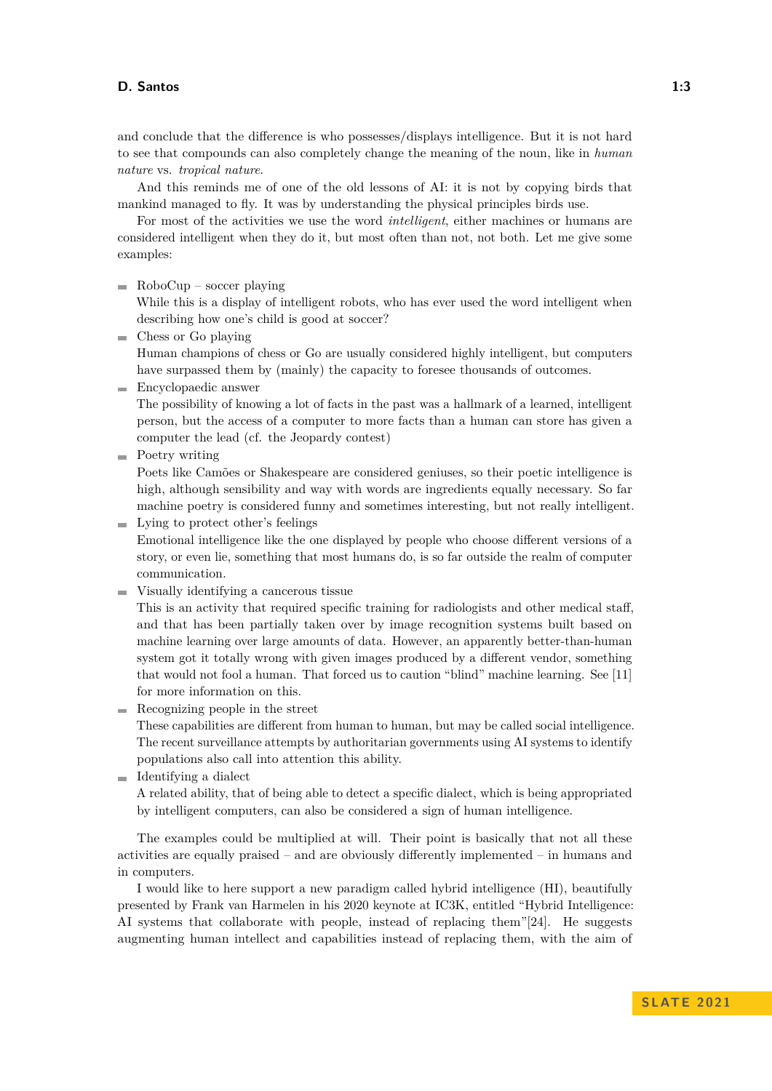and conclude that the difference is who possesses/displays intelligence. But it is not hard to see that compounds can also completely change the meaning of the noun, like in *human nature* vs. *tropical nature*.

And this reminds me of one of the old lessons of AI: it is not by copying birds that mankind managed to fly. It was by understanding the physical principles birds use.

For most of the activities we use the word *intelligent*, either machines or humans are considered intelligent when they do it, but most often than not, not both. Let me give some examples:

 $\blacksquare$  RoboCup – soccer playing

While this is a display of intelligent robots, who has ever used the word intelligent when describing how one's child is good at soccer?

 $\blacksquare$  Chess or Go playing

Human champions of chess or Go are usually considered highly intelligent, but computers have surpassed them by (mainly) the capacity to foresee thousands of outcomes.

Encyclopaedic answer

The possibility of knowing a lot of facts in the past was a hallmark of a learned, intelligent person, but the access of a computer to more facts than a human can store has given a computer the lead (cf. the Jeopardy contest)

**Poetry writing** 

Poets like Camões or Shakespeare are considered geniuses, so their poetic intelligence is high, although sensibility and way with words are ingredients equally necessary. So far machine poetry is considered funny and sometimes interesting, but not really intelligent.

Lying to protect other's feelings

Emotional intelligence like the one displayed by people who choose different versions of a story, or even lie, something that most humans do, is so far outside the realm of computer communication.

Visually identifying a cancerous tissue

This is an activity that required specific training for radiologists and other medical staff, and that has been partially taken over by image recognition systems built based on machine learning over large amounts of data. However, an apparently better-than-human system got it totally wrong with given images produced by a different vendor, something that would not fool a human. That forced us to caution "blind" machine learning. See [\[11\]](#page-9-0) for more information on this.

 $\blacksquare$  Recognizing people in the street

These capabilities are different from human to human, but may be called social intelligence. The recent surveillance attempts by authoritarian governments using AI systems to identify populations also call into attention this ability.

Identifying a dialect

A related ability, that of being able to detect a specific dialect, which is being appropriated by intelligent computers, can also be considered a sign of human intelligence.

The examples could be multiplied at will. Their point is basically that not all these activities are equally praised – and are obviously differently implemented – in humans and in computers.

I would like to here support a new paradigm called hybrid intelligence (HI), beautifully presented by Frank van Harmelen in his 2020 keynote at IC3K, entitled "Hybrid Intelligence: AI systems that collaborate with people, instead of replacing them"[\[24\]](#page-10-1). He suggests augmenting human intellect and capabilities instead of replacing them, with the aim of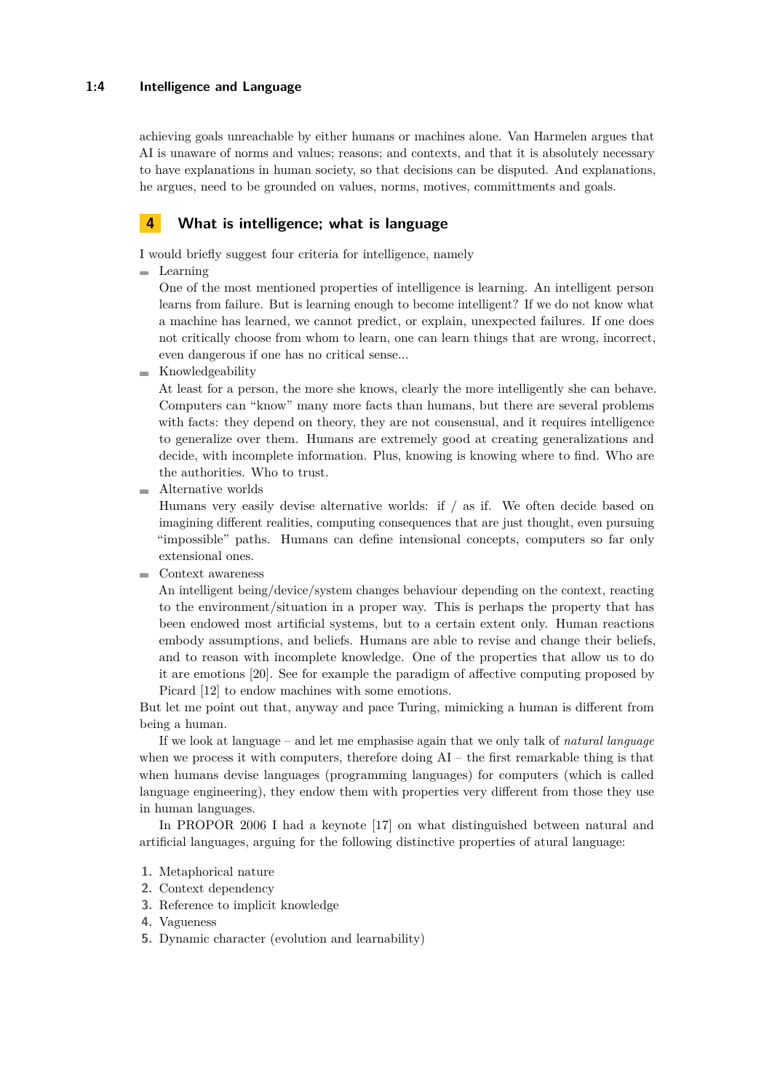### **1:4 Intelligence and Language**

achieving goals unreachable by either humans or machines alone. Van Harmelen argues that AI is unaware of norms and values; reasons; and contexts, and that it is absolutely necessary to have explanations in human society, so that decisions can be disputed. And explanations, he argues, need to be grounded on values, norms, motives, committments and goals.

## **4 What is intelligence; what is language**

I would briefly suggest four criteria for intelligence, namely

**Learning** 

One of the most mentioned properties of intelligence is learning. An intelligent person learns from failure. But is learning enough to become intelligent? If we do not know what a machine has learned, we cannot predict, or explain, unexpected failures. If one does not critically choose from whom to learn, one can learn things that are wrong, incorrect, even dangerous if one has no critical sense...

 $\blacksquare$  Knowledgeability

At least for a person, the more she knows, clearly the more intelligently she can behave. Computers can "know" many more facts than humans, but there are several problems with facts: they depend on theory, they are not consensual, and it requires intelligence to generalize over them. Humans are extremely good at creating generalizations and decide, with incomplete information. Plus, knowing is knowing where to find. Who are the authorities. Who to trust.

Alternative worlds

Humans very easily devise alternative worlds: if / as if. We often decide based on imagining different realities, computing consequences that are just thought, even pursuing "impossible" paths. Humans can define intensional concepts, computers so far only extensional ones.

Context awareness

An intelligent being/device/system changes behaviour depending on the context, reacting to the environment/situation in a proper way. This is perhaps the property that has been endowed most artificial systems, but to a certain extent only. Human reactions embody assumptions, and beliefs. Humans are able to revise and change their beliefs, and to reason with incomplete knowledge. One of the properties that allow us to do it are emotions [\[20\]](#page-10-2). See for example the paradigm of affective computing proposed by Picard [\[12\]](#page-10-3) to endow machines with some emotions.

But let me point out that, anyway and pace Turing, mimicking a human is different from being a human.

If we look at language – and let me emphasise again that we only talk of *natural language* when we process it with computers, therefore doing  $AI$  – the first remarkable thing is that when humans devise languages (programming languages) for computers (which is called language engineering), they endow them with properties very different from those they use in human languages.

In PROPOR 2006 I had a keynote [\[17\]](#page-10-0) on what distinguished between natural and artificial languages, arguing for the following distinctive properties of atural language:

- **1.** Metaphorical nature
- **2.** Context dependency
- **3.** Reference to implicit knowledge
- **4.** Vagueness
- **5.** Dynamic character (evolution and learnability)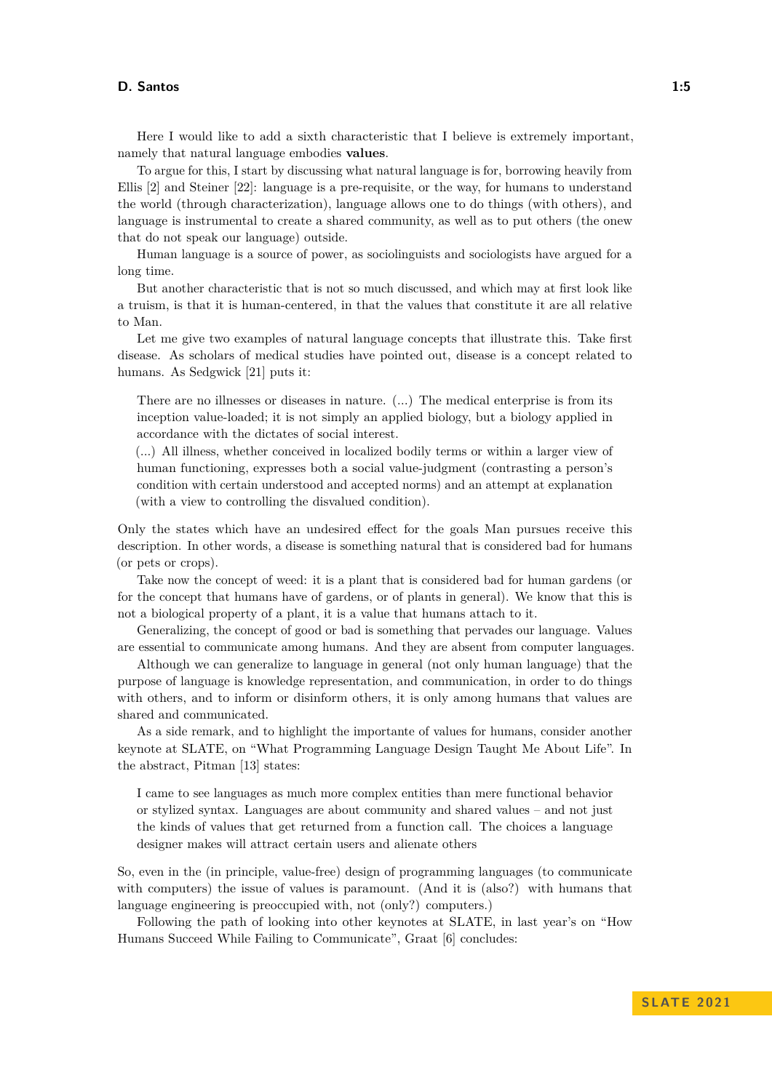Here I would like to add a sixth characteristic that I believe is extremely important, namely that natural language embodies **values**.

To argue for this, I start by discussing what natural language is for, borrowing heavily from Ellis [\[2\]](#page-9-1) and Steiner [\[22\]](#page-10-4): language is a pre-requisite, or the way, for humans to understand the world (through characterization), language allows one to do things (with others), and language is instrumental to create a shared community, as well as to put others (the onew that do not speak our language) outside.

Human language is a source of power, as sociolinguists and sociologists have argued for a long time.

But another characteristic that is not so much discussed, and which may at first look like a truism, is that it is human-centered, in that the values that constitute it are all relative to Man.

Let me give two examples of natural language concepts that illustrate this. Take first disease. As scholars of medical studies have pointed out, disease is a concept related to humans. As Sedgwick [\[21\]](#page-10-5) puts it:

There are no illnesses or diseases in nature. (...) The medical enterprise is from its inception value-loaded; it is not simply an applied biology, but a biology applied in accordance with the dictates of social interest.

(...) All illness, whether conceived in localized bodily terms or within a larger view of human functioning, expresses both a social value-judgment (contrasting a person's condition with certain understood and accepted norms) and an attempt at explanation (with a view to controlling the disvalued condition).

Only the states which have an undesired effect for the goals Man pursues receive this description. In other words, a disease is something natural that is considered bad for humans (or pets or crops).

Take now the concept of weed: it is a plant that is considered bad for human gardens (or for the concept that humans have of gardens, or of plants in general). We know that this is not a biological property of a plant, it is a value that humans attach to it.

Generalizing, the concept of good or bad is something that pervades our language. Values are essential to communicate among humans. And they are absent from computer languages.

Although we can generalize to language in general (not only human language) that the purpose of language is knowledge representation, and communication, in order to do things with others, and to inform or disinform others, it is only among humans that values are shared and communicated.

As a side remark, and to highlight the importante of values for humans, consider another keynote at SLATE, on "What Programming Language Design Taught Me About Life". In the abstract, Pitman [\[13\]](#page-10-6) states:

I came to see languages as much more complex entities than mere functional behavior or stylized syntax. Languages are about community and shared values – and not just the kinds of values that get returned from a function call. The choices a language designer makes will attract certain users and alienate others

So, even in the (in principle, value-free) design of programming languages (to communicate with computers) the issue of values is paramount. (And it is (also?) with humans that language engineering is preoccupied with, not (only?) computers.)

Following the path of looking into other keynotes at SLATE, in last year's on "How Humans Succeed While Failing to Communicate", Graat [\[6\]](#page-9-2) concludes: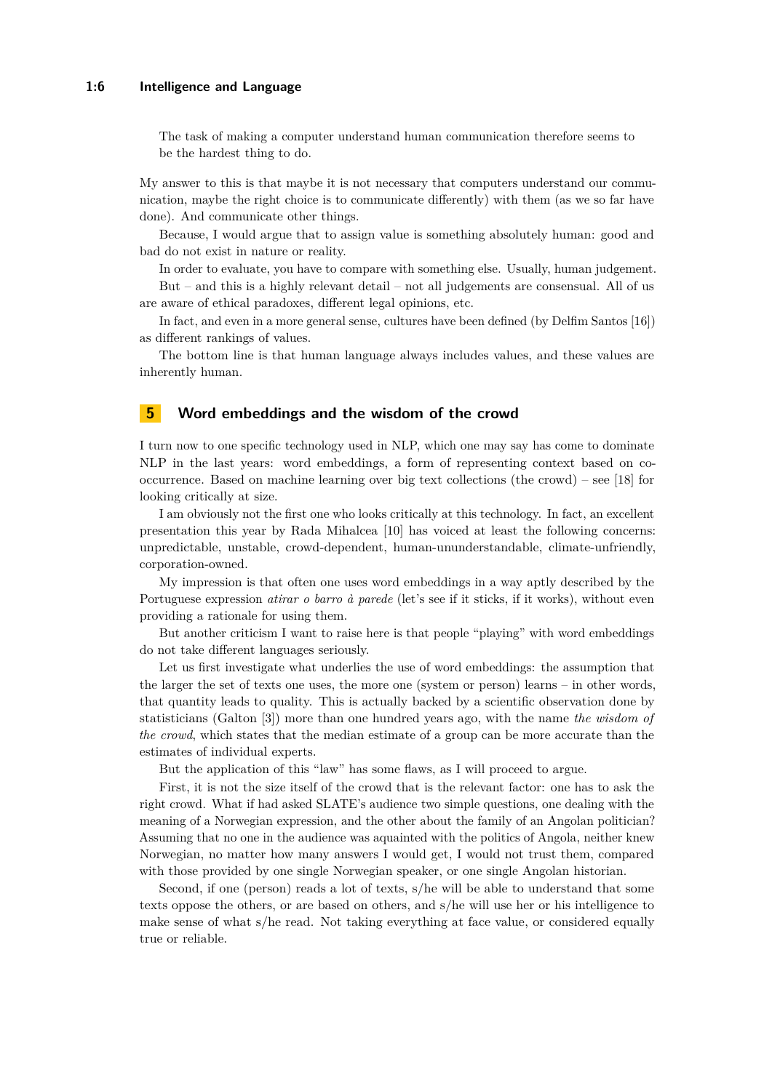#### **1:6 Intelligence and Language**

The task of making a computer understand human communication therefore seems to be the hardest thing to do.

My answer to this is that maybe it is not necessary that computers understand our communication, maybe the right choice is to communicate differently) with them (as we so far have done). And communicate other things.

Because, I would argue that to assign value is something absolutely human: good and bad do not exist in nature or reality.

In order to evaluate, you have to compare with something else. Usually, human judgement. But – and this is a highly relevant detail – not all judgements are consensual. All of us are aware of ethical paradoxes, different legal opinions, etc.

In fact, and even in a more general sense, cultures have been defined (by Delfim Santos [\[16\]](#page-10-7)) as different rankings of values.

The bottom line is that human language always includes values, and these values are inherently human.

## **5 Word embeddings and the wisdom of the crowd**

I turn now to one specific technology used in NLP, which one may say has come to dominate NLP in the last years: word embeddings, a form of representing context based on co-occurrence. Based on machine learning over big text collections (the crowd) – see [\[18\]](#page-10-8) for looking critically at size.

I am obviously not the first one who looks critically at this technology. In fact, an excellent presentation this year by Rada Mihalcea [\[10\]](#page-9-3) has voiced at least the following concerns: unpredictable, unstable, crowd-dependent, human-ununderstandable, climate-unfriendly, corporation-owned.

My impression is that often one uses word embeddings in a way aptly described by the Portuguese expression *atirar o barro à parede* (let's see if it sticks, if it works), without even providing a rationale for using them.

But another criticism I want to raise here is that people "playing" with word embeddings do not take different languages seriously.

Let us first investigate what underlies the use of word embeddings: the assumption that the larger the set of texts one uses, the more one (system or person) learns – in other words, that quantity leads to quality. This is actually backed by a scientific observation done by statisticians (Galton [\[3\]](#page-9-4)) more than one hundred years ago, with the name *the wisdom of the crowd*, which states that the median estimate of a group can be more accurate than the estimates of individual experts.

But the application of this "law" has some flaws, as I will proceed to argue.

First, it is not the size itself of the crowd that is the relevant factor: one has to ask the right crowd. What if had asked SLATE's audience two simple questions, one dealing with the meaning of a Norwegian expression, and the other about the family of an Angolan politician? Assuming that no one in the audience was aquainted with the politics of Angola, neither knew Norwegian, no matter how many answers I would get, I would not trust them, compared with those provided by one single Norwegian speaker, or one single Angolan historian.

Second, if one (person) reads a lot of texts, s/he will be able to understand that some texts oppose the others, or are based on others, and s/he will use her or his intelligence to make sense of what s/he read. Not taking everything at face value, or considered equally true or reliable.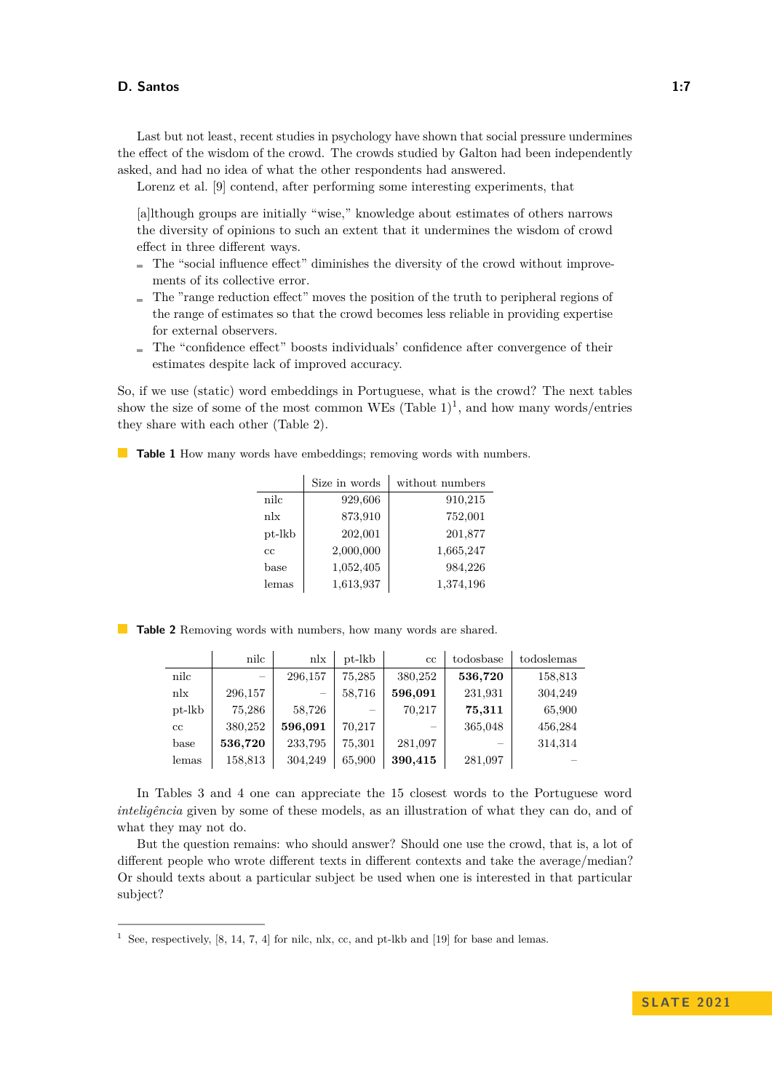Last but not least, recent studies in psychology have shown that social pressure undermines the effect of the wisdom of the crowd. The crowds studied by Galton had been independently asked, and had no idea of what the other respondents had answered.

Lorenz et al. [\[9\]](#page-9-5) contend, after performing some interesting experiments, that

[a]lthough groups are initially "wise," knowledge about estimates of others narrows the diversity of opinions to such an extent that it undermines the wisdom of crowd effect in three different ways.

- $\blacksquare$  The "social influence effect" diminishes the diversity of the crowd without improvements of its collective error.
- $\blacksquare$  The "range reduction effect" moves the position of the truth to peripheral regions of the range of estimates so that the crowd becomes less reliable in providing expertise for external observers.
- The "confidence effect" boosts individuals' confidence after convergence of their estimates despite lack of improved accuracy.

So, if we use (static) word embeddings in Portuguese, what is the crowd? The next tables show the size of some of the most common WEs  $(Table 1)^1$  $(Table 1)^1$  $(Table 1)^1$  $(Table 1)^1$ , and how many words/entries they share with each other (Table [2\)](#page-6-2).

<span id="page-6-0"></span>**Table 1** How many words have embeddings; removing words with numbers.

|        | Size in words | without numbers |
|--------|---------------|-----------------|
| nilc   | 929,606       | 910,215         |
| n!x    | 873,910       | 752,001         |
| pt-lkb | 202,001       | 201,877         |
| cc.    | 2,000,000     | 1,665,247       |
| base   | 1,052,405     | 984,226         |
| lemas  | 1,613,937     | 1,374,196       |

<span id="page-6-2"></span>**Table 2** Removing words with numbers, how many words are shared.

|             | nilc    | n!x                      | $pt$ -lkb | cc      | todosbase                | todoslemas |
|-------------|---------|--------------------------|-----------|---------|--------------------------|------------|
| nilc        |         | 296,157                  | 75,285    | 380,252 | 536,720                  | 158,813    |
| n!x         | 296,157 | $\overline{\phantom{m}}$ | 58,716    | 596,091 | 231,931                  | 304,249    |
| pt-lkb      | 75,286  | 58,726                   |           | 70,217  | 75,311                   | 65,900     |
| $_{\rm cc}$ | 380,252 | 596,091                  | 70,217    | $\sim$  | 365,048                  | 456,284    |
| base        | 536,720 | 233,795                  | 75,301    | 281,097 | $\overline{\phantom{a}}$ | 314,314    |
| lemas       | 158,813 | 304,249                  | 65,900    | 390,415 | 281,097                  |            |

In Tables [3](#page-7-0) and [4](#page-8-0) one can appreciate the 15 closest words to the Portuguese word *inteligência* given by some of these models, as an illustration of what they can do, and of what they may not do.

But the question remains: who should answer? Should one use the crowd, that is, a lot of different people who wrote different texts in different contexts and take the average/median? Or should texts about a particular subject be used when one is interested in that particular subject?

<span id="page-6-1"></span><sup>&</sup>lt;sup>1</sup> See, respectively, [\[8,](#page-9-6) [14,](#page-10-9) [7,](#page-9-7) [4\]](#page-9-8) for nilc, nlx, cc, and pt-lkb and [\[19\]](#page-10-10) for base and lemas.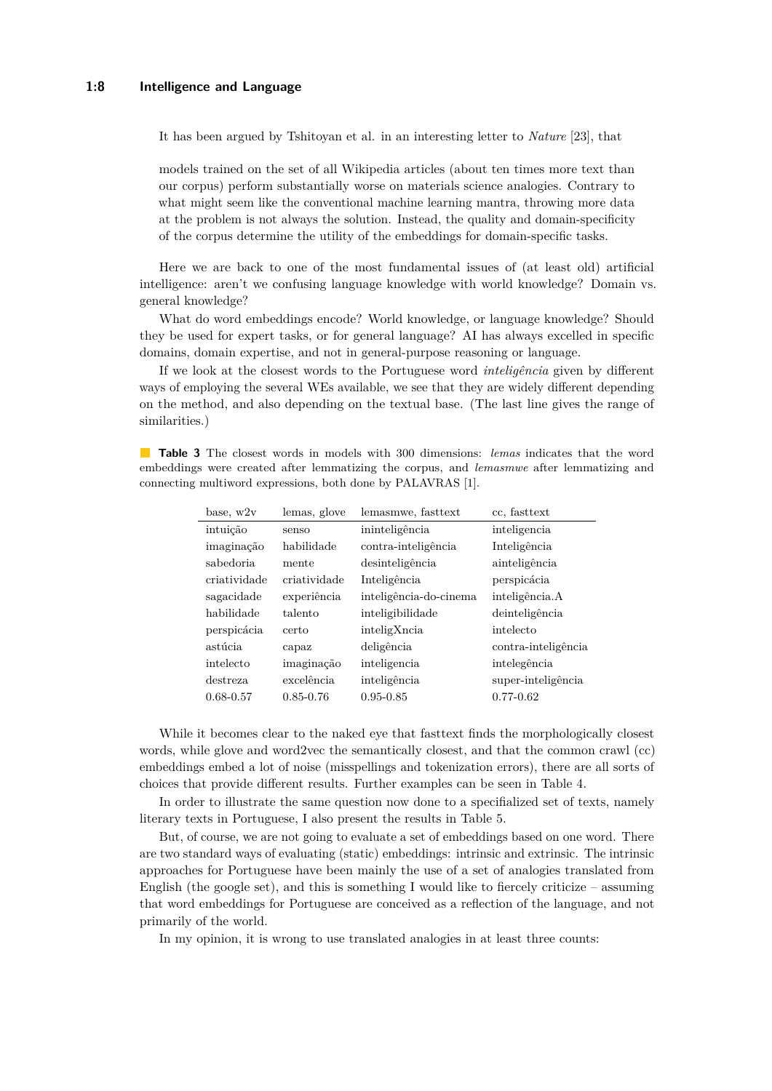It has been argued by Tshitoyan et al. in an interesting letter to *Nature* [\[23\]](#page-10-11), that

models trained on the set of all Wikipedia articles (about ten times more text than our corpus) perform substantially worse on materials science analogies. Contrary to what might seem like the conventional machine learning mantra, throwing more data at the problem is not always the solution. Instead, the quality and domain-specificity of the corpus determine the utility of the embeddings for domain-specific tasks.

Here we are back to one of the most fundamental issues of (at least old) artificial intelligence: aren't we confusing language knowledge with world knowledge? Domain vs. general knowledge?

What do word embeddings encode? World knowledge, or language knowledge? Should they be used for expert tasks, or for general language? AI has always excelled in specific domains, domain expertise, and not in general-purpose reasoning or language.

If we look at the closest words to the Portuguese word *inteligência* given by different ways of employing the several WEs available, we see that they are widely different depending on the method, and also depending on the textual base. (The last line gives the range of similarities.)

<span id="page-7-0"></span>**Table 3** The closest words in models with 300 dimensions: *lemas* indicates that the word embeddings were created after lemmatizing the corpus, and *lemasmwe* after lemmatizing and connecting multiword expressions, both done by PALAVRAS [\[1\]](#page-9-9).

| base, w2v     | lemas, glove  | lemasmwe, fasttext     | cc. fasttext        |
|---------------|---------------|------------------------|---------------------|
| intuição      | senso         | ininteligência         | inteligencia        |
| imaginação    | habilidade    | contra-inteligência    | Inteligência        |
| sabedoria     | mente         | desinteligência        | ainteligência       |
| criatividade  | criatividade  | Inteligência           | perspicácia         |
| sagacidade    | experiência   | inteligência-do-cinema | inteligência.A      |
| habilidade    | talento       | inteligibilidade       | deinteligência      |
| perspicácia   | certo         | inteligXncia           | intelecto           |
| astúcia       | capaz         | deligência             | contra-inteligência |
| intelecto     | imaginação    | inteligencia           | intelegência        |
| destreza.     | excelência    | inteligência           | super-inteligência  |
| $0.68 - 0.57$ | $0.85 - 0.76$ | $0.95 - 0.85$          | $0.77 - 0.62$       |

While it becomes clear to the naked eye that fasttext finds the morphologically closest words, while glove and word2vec the semantically closest, and that the common crawl (cc) embeddings embed a lot of noise (misspellings and tokenization errors), there are all sorts of choices that provide different results. Further examples can be seen in Table [4.](#page-8-0)

In order to illustrate the same question now done to a specifialized set of texts, namely literary texts in Portuguese, I also present the results in Table [5.](#page-8-1)

But, of course, we are not going to evaluate a set of embeddings based on one word. There are two standard ways of evaluating (static) embeddings: intrinsic and extrinsic. The intrinsic approaches for Portuguese have been mainly the use of a set of analogies translated from English (the google set), and this is something I would like to fiercely criticize – assuming that word embeddings for Portuguese are conceived as a reflection of the language, and not primarily of the world.

In my opinion, it is wrong to use translated analogies in at least three counts: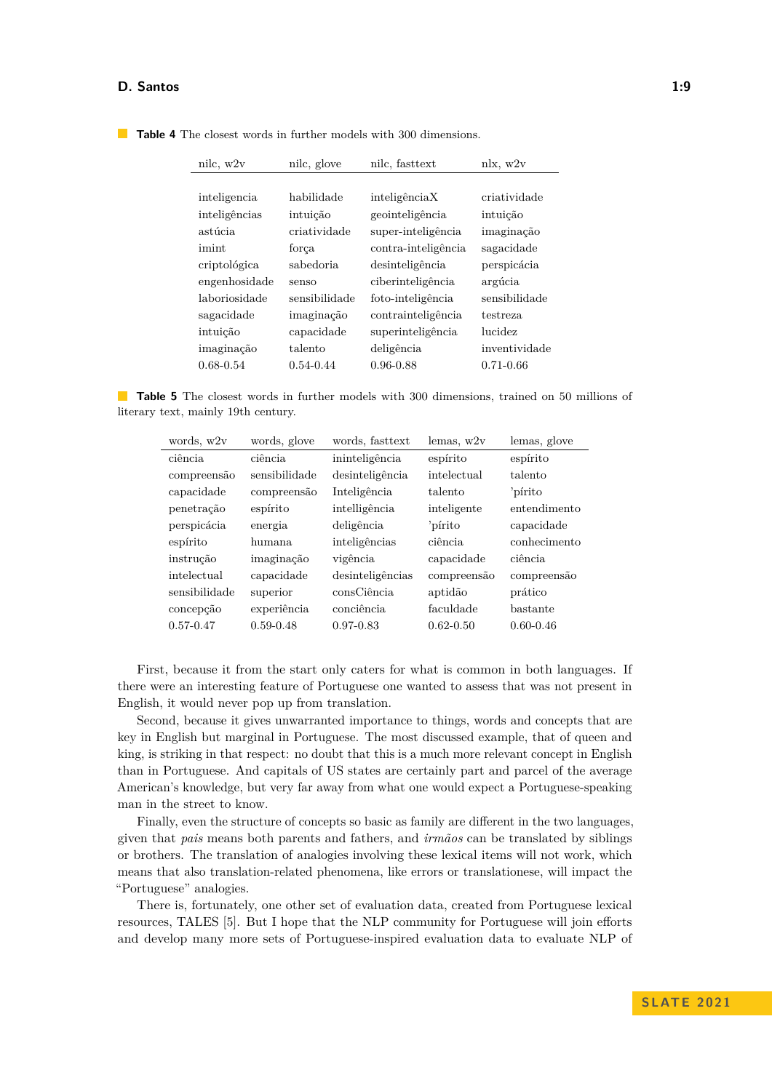| nilc, w2v     | nilc, glove   | nilc, fasttext      | nlx, w2v      |
|---------------|---------------|---------------------|---------------|
|               |               |                     |               |
| inteligencia  | habilidade    | inteligênciaX       | criatividade  |
| inteligências | intuição      | geointeligência     | intuição      |
| astúcia       | criatividade  | super-inteligência  | imaginação    |
| imint         | força         | contra-inteligência | sagacidade    |
| criptológica  | sabedoria     | desinteligência     | perspicácia   |
| engenhosidade | senso         | ciberinteligência   | argúcia       |
| laboriosidade | sensibilidade | foto-inteligência   | sensibilidade |
| sagacidade    | imaginação    | contrainteligência  | testreza      |
| intuição      | capacidade    | superinteligência   | lucidez       |
| imaginação    | talento       | deligência          | inventividade |
| $0.68 - 0.54$ | $0.54 - 0.44$ | $0.96 - 0.88$       | $0.71 - 0.66$ |

<span id="page-8-0"></span>**Table 4** The closest words in further models with 300 dimensions.

<span id="page-8-1"></span>**Table 5** The closest words in further models with 300 dimensions, trained on 50 millions of literary text, mainly 19th century.

| words, w2v    | words, glove  | words, fasttext  | lemas, w2v    | lemas, glove  |
|---------------|---------------|------------------|---------------|---------------|
| ciência       | ciência       | ininteligência   | espírito      | espírito      |
| compreensão   | sensibilidade | desinteligência  | intelectual   | talento       |
| capacidade    | compreensão   | Inteligência     | talento       | 'pírito       |
| penetração    | espírito      | intelligência    | inteligente   | entendimento  |
| perspicácia   | energia       | deligência       | 'pírito       | capacidade    |
| espírito      | humana        | inteligências    | ciência       | conhecimento  |
| instrução     | imaginação    | vigência         | capacidade    | ciência       |
| intelectual   | capacidade    | desinteligências | compreensão   | compreensão   |
| sensibilidade | superior      | consCiência      | aptidão       | prático       |
| concepção     | experiência   | conciência       | faculdade     | bastante      |
| $0.57 - 0.47$ | $0.59 - 0.48$ | $0.97 - 0.83$    | $0.62 - 0.50$ | $0.60 - 0.46$ |

First, because it from the start only caters for what is common in both languages. If there were an interesting feature of Portuguese one wanted to assess that was not present in English, it would never pop up from translation.

Second, because it gives unwarranted importance to things, words and concepts that are key in English but marginal in Portuguese. The most discussed example, that of queen and king, is striking in that respect: no doubt that this is a much more relevant concept in English than in Portuguese. And capitals of US states are certainly part and parcel of the average American's knowledge, but very far away from what one would expect a Portuguese-speaking man in the street to know.

Finally, even the structure of concepts so basic as family are different in the two languages, given that *pais* means both parents and fathers, and *irmãos* can be translated by siblings or brothers. The translation of analogies involving these lexical items will not work, which means that also translation-related phenomena, like errors or translationese, will impact the "Portuguese" analogies.

There is, fortunately, one other set of evaluation data, created from Portuguese lexical resources, TALES [\[5\]](#page-9-10). But I hope that the NLP community for Portuguese will join efforts and develop many more sets of Portuguese-inspired evaluation data to evaluate NLP of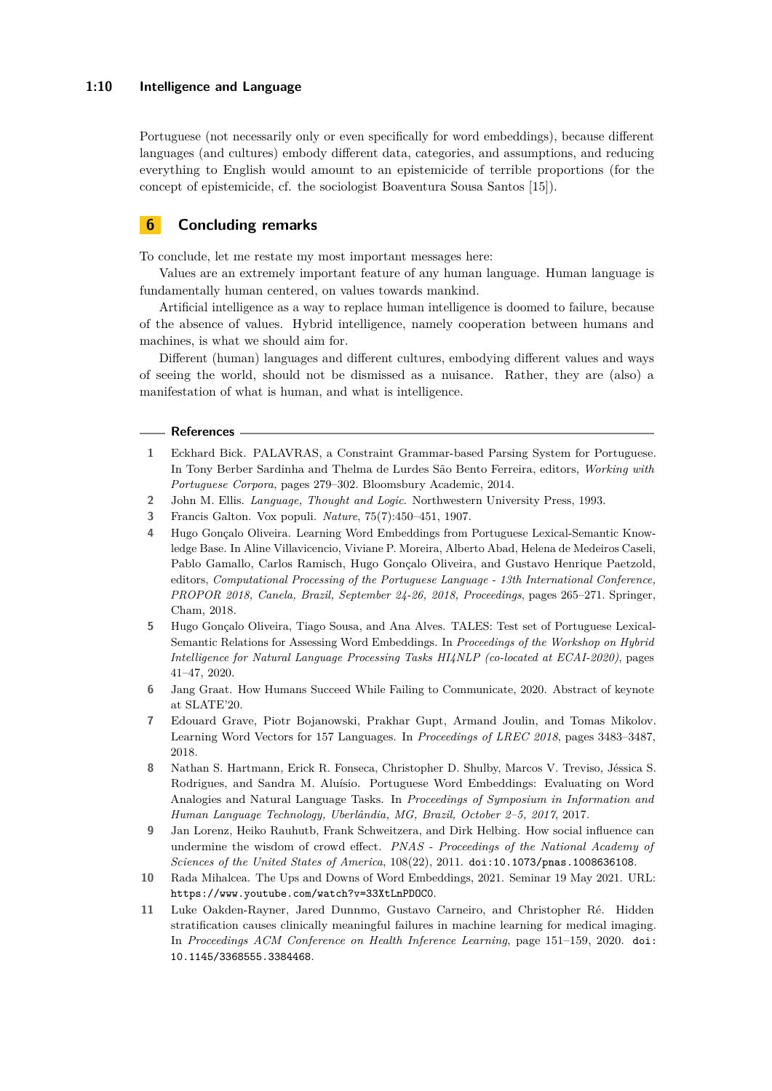#### **1:10 Intelligence and Language**

Portuguese (not necessarily only or even specifically for word embeddings), because different languages (and cultures) embody different data, categories, and assumptions, and reducing everything to English would amount to an epistemicide of terrible proportions (for the concept of epistemicide, cf. the sociologist Boaventura Sousa Santos [\[15\]](#page-10-12)).

## **6 Concluding remarks**

To conclude, let me restate my most important messages here:

Values are an extremely important feature of any human language. Human language is fundamentally human centered, on values towards mankind.

Artificial intelligence as a way to replace human intelligence is doomed to failure, because of the absence of values. Hybrid intelligence, namely cooperation between humans and machines, is what we should aim for.

Different (human) languages and different cultures, embodying different values and ways of seeing the world, should not be dismissed as a nuisance. Rather, they are (also) a manifestation of what is human, and what is intelligence.

#### **References**

- <span id="page-9-9"></span>**1** Eckhard Bick. PALAVRAS, a Constraint Grammar-based Parsing System for Portuguese. In Tony Berber Sardinha and Thelma de Lurdes São Bento Ferreira, editors, *Working with Portuguese Corpora*, pages 279–302. Bloomsbury Academic, 2014.
- <span id="page-9-1"></span>**2** John M. Ellis. *Language, Thought and Logic*. Northwestern University Press, 1993.
- <span id="page-9-4"></span>**3** Francis Galton. Vox populi. *Nature*, 75(7):450–451, 1907.
- <span id="page-9-8"></span>**4** Hugo Gonçalo Oliveira. Learning Word Embeddings from Portuguese Lexical-Semantic Knowledge Base. In Aline Villavicencio, Viviane P. Moreira, Alberto Abad, Helena de Medeiros Caseli, Pablo Gamallo, Carlos Ramisch, Hugo Gonçalo Oliveira, and Gustavo Henrique Paetzold, editors, *Computational Processing of the Portuguese Language - 13th International Conference, PROPOR 2018, Canela, Brazil, September 24-26, 2018, Proceedings*, pages 265–271. Springer, Cham, 2018.
- <span id="page-9-10"></span>**5** Hugo Gonçalo Oliveira, Tiago Sousa, and Ana Alves. TALES: Test set of Portuguese Lexical-Semantic Relations for Assessing Word Embeddings. In *Proceedings of the Workshop on Hybrid Intelligence for Natural Language Processing Tasks HI4NLP (co-located at ECAI-2020)*, pages 41–47, 2020.
- <span id="page-9-2"></span>Jang Graat. How Humans Succeed While Failing to Communicate, 2020. Abstract of keynote at SLATE'20.
- <span id="page-9-7"></span>**7** Edouard Grave, Piotr Bojanowski, Prakhar Gupt, Armand Joulin, and Tomas Mikolov. Learning Word Vectors for 157 Languages. In *Proceedings of LREC 2018*, pages 3483–3487, 2018.
- <span id="page-9-6"></span>**8** Nathan S. Hartmann, Erick R. Fonseca, Christopher D. Shulby, Marcos V. Treviso, Jéssica S. Rodrigues, and Sandra M. Aluísio. Portuguese Word Embeddings: Evaluating on Word Analogies and Natural Language Tasks. In *Proceedings of Symposium in Information and Human Language Technology, Uberlândia, MG, Brazil, October 2–5, 2017*, 2017.
- <span id="page-9-5"></span>**9** Jan Lorenz, Heiko Rauhutb, Frank Schweitzera, and Dirk Helbing. How social influence can undermine the wisdom of crowd effect. *PNAS - Proceedings of the National Academy of Sciences of the United States of America*, 108(22), 2011. [doi:10.1073/pnas.1008636108](https://doi.org/10.1073/pnas.1008636108).
- <span id="page-9-3"></span>**10** Rada Mihalcea. The Ups and Downs of Word Embeddings, 2021. Seminar 19 May 2021. URL: <https://www.youtube.com/watch?v=33XtLnPDOC0>.
- <span id="page-9-0"></span>**11** Luke Oakden-Rayner, Jared Dunnmo, Gustavo Carneiro, and Christopher Ré. Hidden stratification causes clinically meaningful failures in machine learning for medical imaging. In *Proceedings ACM Conference on Health Inference Learning*, page 151–159, 2020. [doi:](https://doi.org/10.1145/3368555.3384468) [10.1145/3368555.3384468](https://doi.org/10.1145/3368555.3384468).